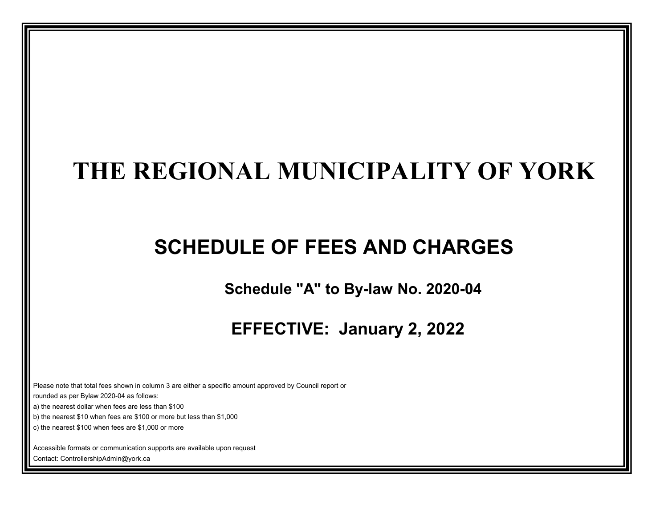# **THE REGIONAL MUNICIPALITY OF YORK**

# **SCHEDULE OF FEES AND CHARGES**

 **Schedule "A" to By-law No. 2020-04**

 **EFFECTIVE: January 2, 2022**

Please note that total fees shown in column 3 are either a specific amount approved by Council report or

rounded as per Bylaw 2020-04 as follows:

a) the nearest dollar when fees are less than \$100

b) the nearest \$10 when fees are \$100 or more but less than \$1,000

c) the nearest \$100 when fees are \$1,000 or more

Accessible formats or communication supports are available upon request

Contact: ControllershipAdmin@york.ca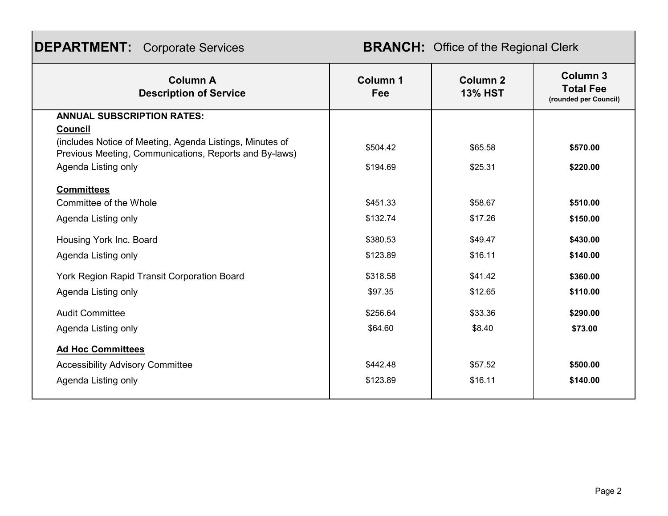| <b>DEPARTMENT:</b> Corporate Services |  |
|---------------------------------------|--|
|---------------------------------------|--|

## **BRANCH:** Office of the Regional Clerk

| <b>Column A</b><br><b>Description of Service</b>                                                                   | Column 1<br>Fee | Column <sub>2</sub><br><b>13% HST</b> | Column <sub>3</sub><br><b>Total Fee</b><br>(rounded per Council) |
|--------------------------------------------------------------------------------------------------------------------|-----------------|---------------------------------------|------------------------------------------------------------------|
| <b>ANNUAL SUBSCRIPTION RATES:</b>                                                                                  |                 |                                       |                                                                  |
| <b>Council</b>                                                                                                     |                 |                                       |                                                                  |
| (includes Notice of Meeting, Agenda Listings, Minutes of<br>Previous Meeting, Communications, Reports and By-laws) | \$504.42        | \$65.58                               | \$570.00                                                         |
| Agenda Listing only                                                                                                | \$194.69        | \$25.31                               | \$220.00                                                         |
| <b>Committees</b>                                                                                                  |                 |                                       |                                                                  |
| Committee of the Whole                                                                                             | \$451.33        | \$58.67                               | \$510.00                                                         |
| Agenda Listing only                                                                                                | \$132.74        | \$17.26                               | \$150.00                                                         |
| Housing York Inc. Board                                                                                            | \$380.53        | \$49.47                               | \$430.00                                                         |
| Agenda Listing only                                                                                                | \$123.89        | \$16.11                               | \$140.00                                                         |
| York Region Rapid Transit Corporation Board                                                                        | \$318.58        | \$41.42                               | \$360.00                                                         |
| Agenda Listing only                                                                                                | \$97.35         | \$12.65                               | \$110.00                                                         |
| <b>Audit Committee</b>                                                                                             | \$256.64        | \$33.36                               | \$290.00                                                         |
| Agenda Listing only                                                                                                | \$64.60         | \$8.40                                | \$73.00                                                          |
| <b>Ad Hoc Committees</b>                                                                                           |                 |                                       |                                                                  |
| <b>Accessibility Advisory Committee</b>                                                                            | \$442.48        | \$57.52                               | \$500.00                                                         |
| Agenda Listing only                                                                                                | \$123.89        | \$16.11                               | \$140.00                                                         |
|                                                                                                                    |                 |                                       |                                                                  |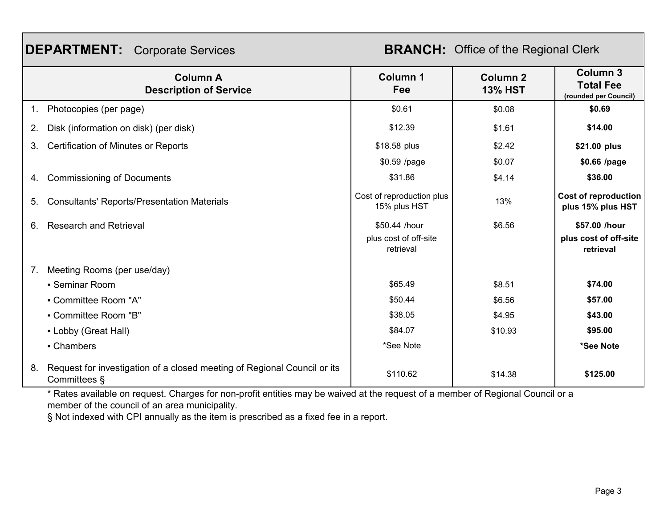## **DEPARTMENT:** Corporate Services

**BRANCH:** Office of the Regional Clerk

|    | <b>Column A</b><br><b>Description of Service</b>                                         | <b>Column 1</b><br>Fee                    | Column <sub>2</sub><br><b>13% HST</b> | <b>Column 3</b><br><b>Total Fee</b><br>(rounded per Council) |
|----|------------------------------------------------------------------------------------------|-------------------------------------------|---------------------------------------|--------------------------------------------------------------|
| 1. | Photocopies (per page)                                                                   | \$0.61                                    | \$0.08                                | \$0.69                                                       |
| 2. | Disk (information on disk) (per disk)                                                    | \$12.39                                   | \$1.61                                | \$14.00                                                      |
| 3. | <b>Certification of Minutes or Reports</b>                                               | \$18.58 plus                              | \$2.42                                | \$21.00 plus                                                 |
|    |                                                                                          | \$0.59 /page                              | \$0.07                                | \$0.66 /page                                                 |
| 4. | <b>Commissioning of Documents</b>                                                        | \$31.86                                   | \$4.14                                | \$36.00                                                      |
| 5. | <b>Consultants' Reports/Presentation Materials</b>                                       | Cost of reproduction plus<br>15% plus HST | 13%                                   | <b>Cost of reproduction</b><br>plus 15% plus HST             |
| 6. | <b>Research and Retrieval</b>                                                            | \$50.44 /hour                             | \$6.56                                | \$57.00 /hour                                                |
|    |                                                                                          | plus cost of off-site<br>retrieval        |                                       | plus cost of off-site<br>retrieval                           |
| 7. | Meeting Rooms (per use/day)                                                              |                                           |                                       |                                                              |
|    | • Seminar Room                                                                           | \$65.49                                   | \$8.51                                | \$74.00                                                      |
|    | • Committee Room "A"                                                                     | \$50.44                                   | \$6.56                                | \$57.00                                                      |
|    | • Committee Room "B"                                                                     | \$38.05                                   | \$4.95                                | \$43.00                                                      |
|    | • Lobby (Great Hall)                                                                     | \$84.07                                   | \$10.93                               | \$95.00                                                      |
|    | • Chambers                                                                               | *See Note                                 |                                       | *See Note                                                    |
| 8. | Request for investigation of a closed meeting of Regional Council or its<br>Committees § | \$110.62                                  | \$14.38                               | \$125.00                                                     |

\* Rates available on request. Charges for non-profit entities may be waived at the request of a member of Regional Council or a member of the council of an area municipality.

§ Not indexed with CPI annually as the item is prescribed as a fixed fee in a report.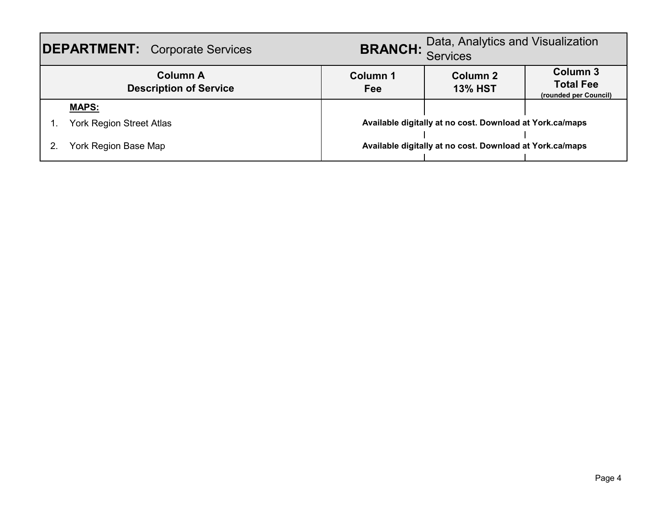| <b>DEPARTMENT:</b> Corporate Services            | <b>BRANCH:</b> Data, Analytics and Visualization |                                                          |                                                       |
|--------------------------------------------------|--------------------------------------------------|----------------------------------------------------------|-------------------------------------------------------|
| <b>Column A</b><br><b>Description of Service</b> | Column 1<br>Fee                                  | Column 2<br><b>13% HST</b>                               | Column 3<br><b>Total Fee</b><br>(rounded per Council) |
| <b>MAPS:</b>                                     |                                                  |                                                          |                                                       |
| <b>York Region Street Atlas</b>                  |                                                  | Available digitally at no cost. Download at York.ca/maps |                                                       |
| York Region Base Map                             |                                                  | Available digitally at no cost. Download at York.ca/maps |                                                       |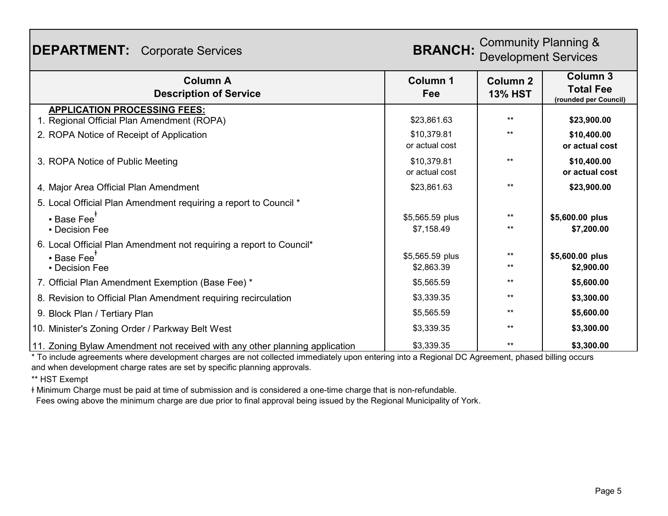| <b>DEPARTMENT:</b> Corporate Services                                             | <b>BRANCH:</b>                | <b>Community Planning &amp;</b><br><b>Development Services</b> |                                                              |
|-----------------------------------------------------------------------------------|-------------------------------|----------------------------------------------------------------|--------------------------------------------------------------|
| <b>Column A</b><br><b>Description of Service</b>                                  | Column 1<br>Fee               | <b>Column 2</b><br><b>13% HST</b>                              | <b>Column 3</b><br><b>Total Fee</b><br>(rounded per Council) |
| <b>APPLICATION PROCESSING FEES:</b><br>1. Regional Official Plan Amendment (ROPA) | \$23,861.63                   | $***$                                                          | \$23,900.00                                                  |
| 2. ROPA Notice of Receipt of Application                                          | \$10,379.81<br>or actual cost | $***$                                                          | \$10,400.00<br>or actual cost                                |
| 3. ROPA Notice of Public Meeting                                                  | \$10,379.81<br>or actual cost | $***$                                                          | \$10,400.00<br>or actual cost                                |
| 4. Major Area Official Plan Amendment                                             | \$23,861.63                   | $***$                                                          | \$23,900.00                                                  |
| 5. Local Official Plan Amendment requiring a report to Council *                  |                               |                                                                |                                                              |
| • Base Fee <sup>†</sup>                                                           | \$5,565.59 plus               | $***$                                                          | \$5,600.00 plus                                              |
| • Decision Fee                                                                    | \$7,158.49                    | $***$                                                          | \$7,200.00                                                   |
| 6. Local Official Plan Amendment not requiring a report to Council*               |                               |                                                                |                                                              |
| • Base Fee <sup>T</sup>                                                           | \$5,565.59 plus               | $***$                                                          | \$5,600.00 plus                                              |
| • Decision Fee                                                                    | \$2,863.39                    | $***$                                                          | \$2,900.00                                                   |
| 7. Official Plan Amendment Exemption (Base Fee) *                                 | \$5,565.59                    | $***$                                                          | \$5,600.00                                                   |
| 8. Revision to Official Plan Amendment requiring recirculation                    | \$3,339.35                    | $***$                                                          | \$3,300.00                                                   |
| 9. Block Plan / Tertiary Plan                                                     | \$5,565.59                    | $***$                                                          | \$5,600.00                                                   |
| 10. Minister's Zoning Order / Parkway Belt West                                   | \$3,339.35                    | $***$                                                          | \$3,300.00                                                   |
| 11. Zoning Bylaw Amendment not received with any other planning application       | \$3,339.35                    | $***$                                                          | \$3,300.00                                                   |

\* To include agreements where development charges are not collected immediately upon entering into a Regional DC Agreement, phased billing occurs and when development charge rates are set by specific planning approvals.

\*\* HST Exempt

ɫ Minimum Charge must be paid at time of submission and is considered a one-time charge that is non-refundable.

Fees owing above the minimum charge are due prior to final approval being issued by the Regional Municipality of York.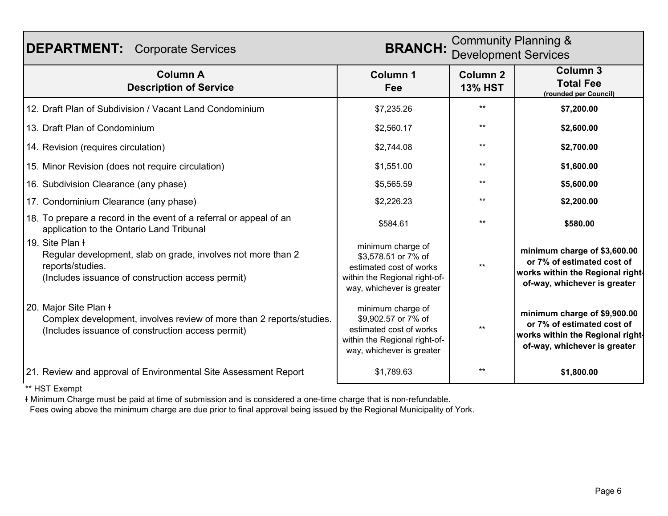| <b>DEPARTMENT:</b> Corporate Services                                                                                                                    | <b>Community Planning &amp;</b><br><b>BRANCH:</b><br><b>Development Services</b>                                                  |                                   |                                                                                                                                |
|----------------------------------------------------------------------------------------------------------------------------------------------------------|-----------------------------------------------------------------------------------------------------------------------------------|-----------------------------------|--------------------------------------------------------------------------------------------------------------------------------|
| <b>Column A</b><br><b>Description of Service</b>                                                                                                         | <b>Column 1</b><br>Fee                                                                                                            | <b>Column 2</b><br><b>13% HST</b> | <b>Column 3</b><br><b>Total Fee</b><br>(rounded per Council)                                                                   |
| 12. Draft Plan of Subdivision / Vacant Land Condominium                                                                                                  | \$7,235.26                                                                                                                        | $***$                             | \$7,200.00                                                                                                                     |
| 13. Draft Plan of Condominium                                                                                                                            | \$2,560.17                                                                                                                        | $***$                             | \$2,600.00                                                                                                                     |
| 14. Revision (requires circulation)                                                                                                                      | \$2,744.08                                                                                                                        | $***$                             | \$2,700.00                                                                                                                     |
| 15. Minor Revision (does not require circulation)                                                                                                        | \$1,551.00                                                                                                                        | $***$                             | \$1,600.00                                                                                                                     |
| 16. Subdivision Clearance (any phase)                                                                                                                    | \$5,565.59                                                                                                                        | $***$                             | \$5,600.00                                                                                                                     |
| 17. Condominium Clearance (any phase)                                                                                                                    | \$2,226.23                                                                                                                        | $***$                             | \$2,200.00                                                                                                                     |
| 18. To prepare a record in the event of a referral or appeal of an<br>application to the Ontario Land Tribunal                                           | \$584.61                                                                                                                          | $***$                             | \$580.00                                                                                                                       |
| 19. Site Plan ł<br>Regular development, slab on grade, involves not more than 2<br>reports/studies.<br>(Includes issuance of construction access permit) | minimum charge of<br>\$3,578.51 or 7% of<br>estimated cost of works<br>within the Regional right-of-<br>way, whichever is greater |                                   | minimum charge of \$3,600.00<br>or 7% of estimated cost of<br>works within the Regional right-<br>of-way, whichever is greater |
| 20. Major Site Plan ł<br>Complex development, involves review of more than 2 reports/studies.<br>(Includes issuance of construction access permit)       | minimum charge of<br>\$9,902.57 or 7% of<br>estimated cost of works<br>within the Regional right-of-<br>way, whichever is greater | $***$                             | minimum charge of \$9,900.00<br>or 7% of estimated cost of<br>works within the Regional right-<br>of-way, whichever is greater |
| 21. Review and approval of Environmental Site Assessment Report                                                                                          | \$1,789.63                                                                                                                        | $***$                             | \$1,800.00                                                                                                                     |

ɫ Minimum Charge must be paid at time of submission and is considered a one-time charge that is non-refundable. Fees owing above the minimum charge are due prior to final approval being issued by the Regional Municipality of York.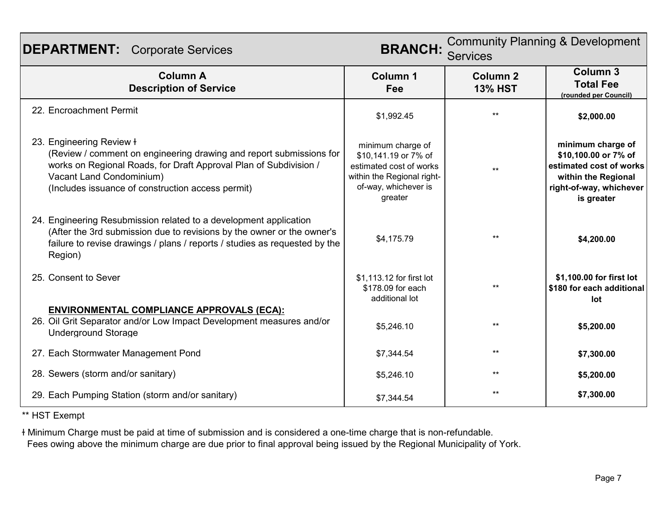| <b>DEPARTMENT:</b> Corporate Services                                                                                                                                                                                                                 | <b>BRANCH:</b>                                                                                                                        | <b>Community Planning &amp; Development</b><br><b>Services</b> |                                                                                                                                      |
|-------------------------------------------------------------------------------------------------------------------------------------------------------------------------------------------------------------------------------------------------------|---------------------------------------------------------------------------------------------------------------------------------------|----------------------------------------------------------------|--------------------------------------------------------------------------------------------------------------------------------------|
| <b>Column A</b><br><b>Description of Service</b>                                                                                                                                                                                                      | Column 1<br>Fee                                                                                                                       | Column <sub>2</sub><br><b>13% HST</b>                          | Column <sub>3</sub><br><b>Total Fee</b><br>(rounded per Council)                                                                     |
| 22. Encroachment Permit                                                                                                                                                                                                                               | \$1,992.45                                                                                                                            | $**$                                                           | \$2,000.00                                                                                                                           |
| 23. Engineering Review +<br>(Review / comment on engineering drawing and report submissions for<br>works on Regional Roads, for Draft Approval Plan of Subdivision /<br>Vacant Land Condominium)<br>(Includes issuance of construction access permit) | minimum charge of<br>\$10,141.19 or 7% of<br>estimated cost of works<br>within the Regional right-<br>of-way, whichever is<br>greater | $***$                                                          | minimum charge of<br>\$10,100.00 or 7% of<br>estimated cost of works<br>within the Regional<br>right-of-way, whichever<br>is greater |
| 24. Engineering Resubmission related to a development application<br>(After the 3rd submission due to revisions by the owner or the owner's<br>failure to revise drawings / plans / reports / studies as requested by the<br>Region)                  | \$4,175.79                                                                                                                            | $***$                                                          | \$4,200.00                                                                                                                           |
| 25. Consent to Sever                                                                                                                                                                                                                                  | \$1,113.12 for first lot<br>\$178.09 for each<br>additional lot                                                                       | $***$                                                          | \$1,100.00 for first lot<br>\$180 for each additional<br>lot                                                                         |
| <b>ENVIRONMENTAL COMPLIANCE APPROVALS (ECA):</b><br>26. Oil Grit Separator and/or Low Impact Development measures and/or<br><b>Underground Storage</b>                                                                                                | \$5,246.10                                                                                                                            | $***$                                                          | \$5,200.00                                                                                                                           |
| 27. Each Stormwater Management Pond                                                                                                                                                                                                                   | \$7,344.54                                                                                                                            | $***$                                                          | \$7,300.00                                                                                                                           |
| 28. Sewers (storm and/or sanitary)                                                                                                                                                                                                                    | \$5,246.10                                                                                                                            | $***$                                                          | \$5,200.00                                                                                                                           |
| 29. Each Pumping Station (storm and/or sanitary)                                                                                                                                                                                                      | \$7,344.54                                                                                                                            | $***$                                                          | \$7,300.00                                                                                                                           |

ɫ Minimum Charge must be paid at time of submission and is considered a one-time charge that is non-refundable.

Fees owing above the minimum charge are due prior to final approval being issued by the Regional Municipality of York.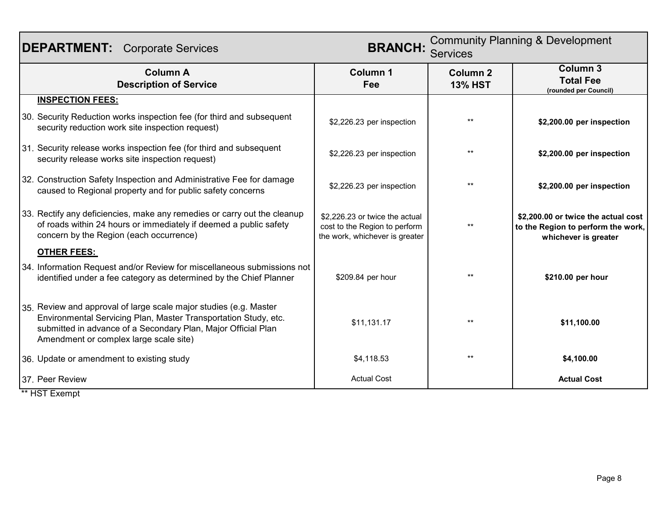| <b>BRANCH:</b><br><b>DEPARTMENT:</b> Corporate Services<br><b>Services</b> |                                                                                                                                                                                                                                                 |                                                                                                   | <b>Community Planning &amp; Development</b> |                                                                                                   |
|----------------------------------------------------------------------------|-------------------------------------------------------------------------------------------------------------------------------------------------------------------------------------------------------------------------------------------------|---------------------------------------------------------------------------------------------------|---------------------------------------------|---------------------------------------------------------------------------------------------------|
|                                                                            | <b>Column A</b><br><b>Description of Service</b>                                                                                                                                                                                                | <b>Column 1</b><br>Fee                                                                            | <b>Column 2</b><br><b>13% HST</b>           | <b>Column 3</b><br><b>Total Fee</b><br>(rounded per Council)                                      |
|                                                                            | <b>INSPECTION FEES:</b>                                                                                                                                                                                                                         |                                                                                                   |                                             |                                                                                                   |
|                                                                            | 30. Security Reduction works inspection fee (for third and subsequent<br>security reduction work site inspection request)                                                                                                                       | \$2,226.23 per inspection                                                                         | $**$                                        | \$2,200.00 per inspection                                                                         |
|                                                                            | 31. Security release works inspection fee (for third and subsequent<br>security release works site inspection request)                                                                                                                          | \$2,226.23 per inspection                                                                         | $***$                                       | \$2,200.00 per inspection                                                                         |
|                                                                            | 32. Construction Safety Inspection and Administrative Fee for damage<br>caused to Regional property and for public safety concerns                                                                                                              | \$2,226.23 per inspection                                                                         | $***$                                       | \$2,200.00 per inspection                                                                         |
|                                                                            | 33. Rectify any deficiencies, make any remedies or carry out the cleanup<br>of roads within 24 hours or immediately if deemed a public safety<br>concern by the Region (each occurrence)                                                        | \$2,226.23 or twice the actual<br>cost to the Region to perform<br>the work, whichever is greater | $***$                                       | \$2,200.00 or twice the actual cost<br>to the Region to perform the work,<br>whichever is greater |
|                                                                            | <b>OTHER FEES:</b>                                                                                                                                                                                                                              |                                                                                                   |                                             |                                                                                                   |
|                                                                            | 34. Information Request and/or Review for miscellaneous submissions not<br>identified under a fee category as determined by the Chief Planner                                                                                                   | \$209.84 per hour                                                                                 | $**$                                        | \$210.00 per hour                                                                                 |
|                                                                            | 35. Review and approval of large scale major studies (e.g. Master<br>Environmental Servicing Plan, Master Transportation Study, etc.<br>submitted in advance of a Secondary Plan, Major Official Plan<br>Amendment or complex large scale site) | \$11,131.17                                                                                       | $+ +$                                       | \$11,100.00                                                                                       |
|                                                                            | 36. Update or amendment to existing study                                                                                                                                                                                                       | \$4,118.53                                                                                        | $***$                                       | \$4,100.00                                                                                        |
|                                                                            | 37. Peer Review                                                                                                                                                                                                                                 | <b>Actual Cost</b>                                                                                |                                             | <b>Actual Cost</b>                                                                                |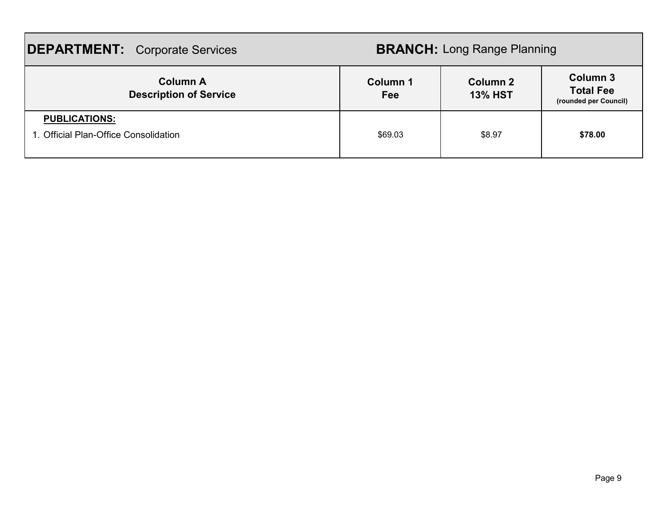| <b>DEPARTMENT:</b> Corporate Services                         |                 | <b>BRANCH: Long Range Planning</b> |                                                       |
|---------------------------------------------------------------|-----------------|------------------------------------|-------------------------------------------------------|
| <b>Column A</b><br><b>Description of Service</b>              | Column 1<br>Fee | <b>Column 2</b><br><b>13% HST</b>  | Column 3<br><b>Total Fee</b><br>(rounded per Council) |
| <b>PUBLICATIONS:</b><br>1. Official Plan-Office Consolidation | \$69.03         | \$8.97                             | \$78.00                                               |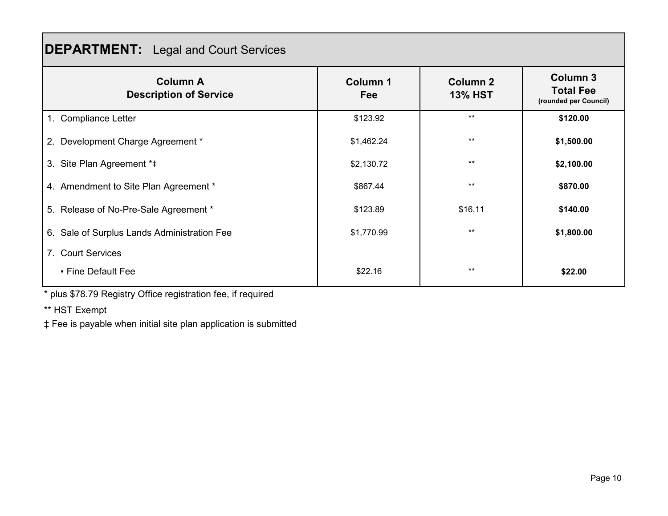## **DEPARTMENT:** Legal and Court Services

| <b>Column A</b><br><b>Description of Service</b> | <b>Column 1</b><br>Fee | <b>Column 2</b><br><b>13% HST</b> | <b>Column 3</b><br><b>Total Fee</b><br>(rounded per Council) |
|--------------------------------------------------|------------------------|-----------------------------------|--------------------------------------------------------------|
| 1. Compliance Letter                             | \$123.92               | $***$                             | \$120.00                                                     |
| 2. Development Charge Agreement *                | \$1,462.24             | $***$                             | \$1,500.00                                                   |
| 3. Site Plan Agreement *#                        | \$2,130.72             | $**$                              | \$2,100.00                                                   |
| 4. Amendment to Site Plan Agreement *            | \$867.44               | $***$                             | \$870.00                                                     |
| 5. Release of No-Pre-Sale Agreement *            | \$123.89               | \$16.11                           | \$140.00                                                     |
| 6. Sale of Surplus Lands Administration Fee      | \$1,770.99             | $***$                             | \$1,800.00                                                   |
| 7. Court Services                                |                        |                                   |                                                              |
| • Fine Default Fee                               | \$22.16                | $**$                              | \$22.00                                                      |

\* plus \$78.79 Registry Office registration fee, if required

\*\* HST Exempt

‡ Fee is payable when initial site plan application is submitted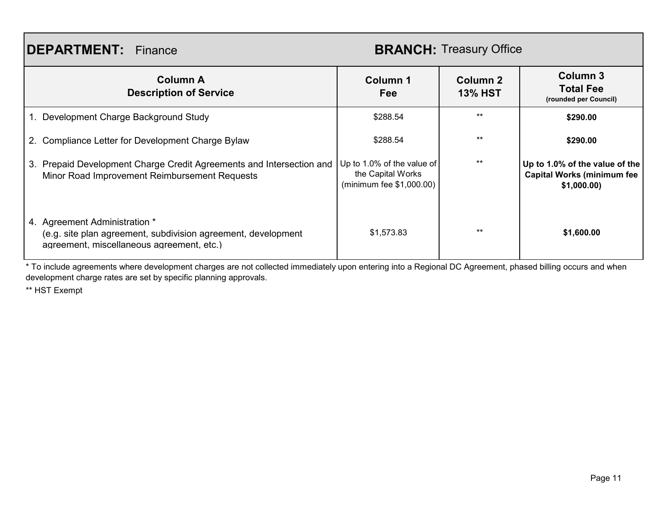### **DEPARTMENT:** Finance

#### **BRANCH:** Treasury Office

| <b>Column A</b><br><b>Description of Service</b>                                                                                            | Column 1<br><b>Fee</b>                                                        | Column 2<br><b>13% HST</b> | <b>Column 3</b><br><b>Total Fee</b><br>(rounded per Council)                       |
|---------------------------------------------------------------------------------------------------------------------------------------------|-------------------------------------------------------------------------------|----------------------------|------------------------------------------------------------------------------------|
| 1. Development Charge Background Study                                                                                                      | \$288.54                                                                      | $***$                      | \$290.00                                                                           |
| 2. Compliance Letter for Development Charge Bylaw                                                                                           | \$288.54                                                                      | $***$                      | \$290.00                                                                           |
| 3. Prepaid Development Charge Credit Agreements and Intersection and<br>Minor Road Improvement Reimbursement Requests                       | Up to 1.0% of the value of<br>the Capital Works<br>(minimum fee $$1,000.00$ ) | $***$                      | Up to 1.0% of the value of the<br><b>Capital Works (minimum fee</b><br>\$1,000.00) |
| 4. Agreement Administration *<br>(e.g. site plan agreement, subdivision agreement, development<br>agreement, miscellaneous agreement, etc.) | \$1,573.83                                                                    | $***$                      | \$1,600.00                                                                         |

\* To include agreements where development charges are not collected immediately upon entering into a Regional DC Agreement, phased billing occurs and when development charge rates are set by specific planning approvals.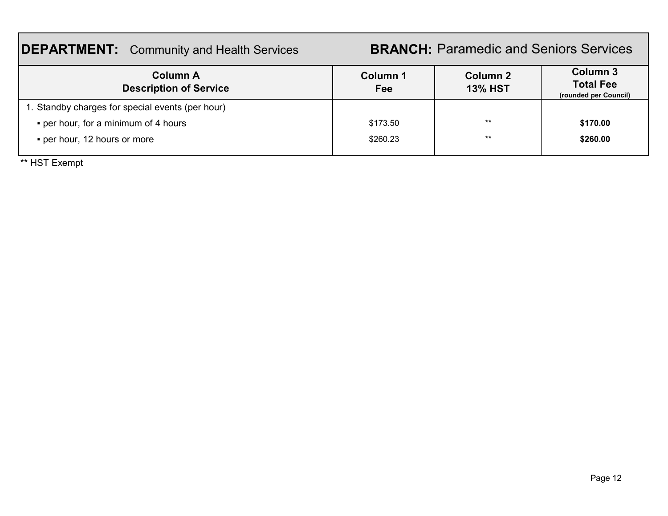#### **DEPARTMENT:** Community and Health Services **Column 1 Fee Column 2 13% HST Column 3 Total Fee (rounded per Council)** 1. Standby charges for special events (per hour) **•** per hour, for a minimum of 4 hours **but a set of the set of the set of the set of the set of the set of the state set of state set of the state set of the state set of state set of state set of state set of state set o • per hour, 12 hours or more \$260.00 \$260.00 \$260.23 \$260.00 \$260.00 BRANCH:** Paramedic and Seniors Services **Column A Description of Service**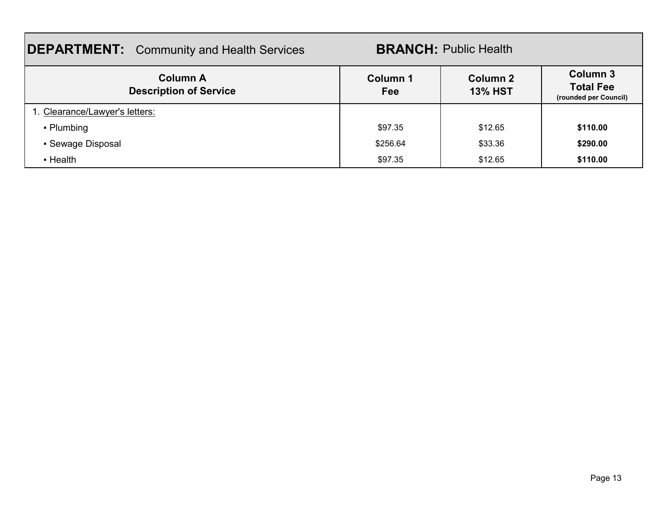| <b>DEPARTMENT:</b> Community and Health Services |                 | <b>BRANCH: Public Health</b>      |                                                       |
|--------------------------------------------------|-----------------|-----------------------------------|-------------------------------------------------------|
| <b>Column A</b><br><b>Description of Service</b> | Column 1<br>Fee | <b>Column 2</b><br><b>13% HST</b> | Column 3<br><b>Total Fee</b><br>(rounded per Council) |
| 1. Clearance/Lawyer's letters:                   |                 |                                   |                                                       |
| • Plumbing                                       | \$97.35         | \$12.65                           | \$110.00                                              |
| • Sewage Disposal                                | \$256.64        | \$33.36                           | \$290.00                                              |
| • Health                                         | \$97.35         | \$12.65                           | \$110.00                                              |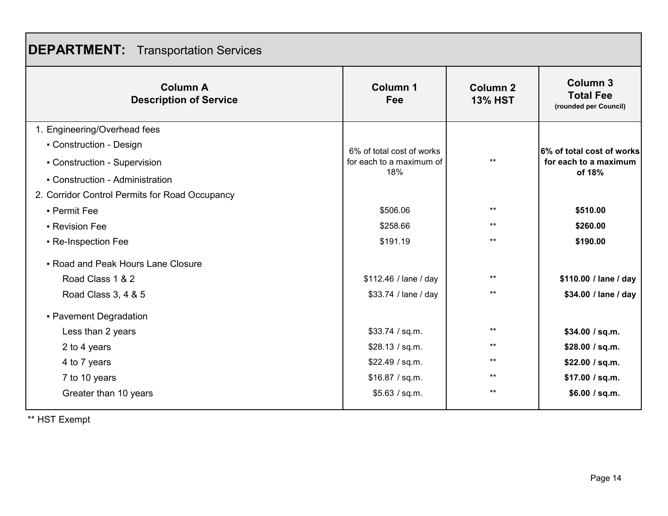|  | <b>DEPARTMENT:</b> Transportation Services |
|--|--------------------------------------------|
|--|--------------------------------------------|

| <b>Column A</b><br><b>Description of Service</b> | <b>Column 1</b><br>Fee    | <b>Column 2</b><br><b>13% HST</b> | <b>Column 3</b><br><b>Total Fee</b><br>(rounded per Council) |
|--------------------------------------------------|---------------------------|-----------------------------------|--------------------------------------------------------------|
| 1. Engineering/Overhead fees                     |                           |                                   |                                                              |
| • Construction - Design                          | 6% of total cost of works |                                   | 6% of total cost of works                                    |
| • Construction - Supervision                     | for each to a maximum of  | $***$                             | for each to a maximum                                        |
| • Construction - Administration                  | 18%                       |                                   | of 18%                                                       |
| 2. Corridor Control Permits for Road Occupancy   |                           |                                   |                                                              |
| - Permit Fee                                     | \$506.06                  | $***$                             | \$510.00                                                     |
| • Revision Fee                                   | \$258.66                  | $***$                             | \$260.00                                                     |
| • Re-Inspection Fee                              | \$191.19                  | $\star\star$                      | \$190.00                                                     |
| • Road and Peak Hours Lane Closure               |                           |                                   |                                                              |
| Road Class 1 & 2                                 | \$112.46 / lane / day     | $***$                             | \$110.00 / lane / day                                        |
| Road Class 3, 4 & 5                              | \$33.74 / lane / day      | $***$                             | \$34.00 / lane / day                                         |
| - Pavement Degradation                           |                           |                                   |                                                              |
| Less than 2 years                                | \$33.74 / sq.m.           | $***$                             | \$34.00 / sq.m.                                              |
| 2 to 4 years                                     | \$28.13 / sq.m.           | $***$                             | \$28.00 / sq.m.                                              |
| 4 to 7 years                                     | \$22.49 / sq.m.           | $***$                             | \$22.00 / sq.m.                                              |
| 7 to 10 years                                    | \$16.87 / sq.m.           | $***$                             | \$17.00 / sq.m.                                              |
| Greater than 10 years                            | \$5.63 / sq.m.            | $***$                             | \$6.00 / sq.m.                                               |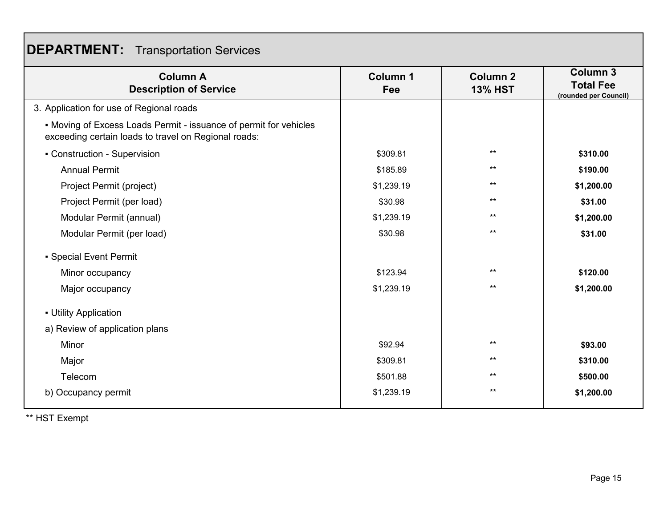|  | <b>DEPARTMENT:</b> Transportation Services |
|--|--------------------------------------------|
|--|--------------------------------------------|

| <b>Column A</b><br><b>Description of Service</b>                                                                          | <b>Column 1</b><br>Fee | <b>Column 2</b><br><b>13% HST</b> | <b>Column 3</b><br><b>Total Fee</b> |
|---------------------------------------------------------------------------------------------------------------------------|------------------------|-----------------------------------|-------------------------------------|
| 3. Application for use of Regional roads                                                                                  |                        |                                   | (rounded per Council)               |
| • Moving of Excess Loads Permit - issuance of permit for vehicles<br>exceeding certain loads to travel on Regional roads: |                        |                                   |                                     |
| • Construction - Supervision                                                                                              | \$309.81               | $***$                             | \$310.00                            |
| <b>Annual Permit</b>                                                                                                      | \$185.89               | $***$                             | \$190.00                            |
| Project Permit (project)                                                                                                  | \$1,239.19             | $***$                             | \$1,200.00                          |
| Project Permit (per load)                                                                                                 | \$30.98                | $***$                             | \$31.00                             |
| Modular Permit (annual)                                                                                                   | \$1,239.19             | $***$                             | \$1,200.00                          |
| Modular Permit (per load)                                                                                                 | \$30.98                | $***$                             | \$31.00                             |
| • Special Event Permit                                                                                                    |                        |                                   |                                     |
| Minor occupancy                                                                                                           | \$123.94               | $***$                             | \$120.00                            |
| Major occupancy                                                                                                           | \$1,239.19             | $***$                             | \$1,200.00                          |
| - Utility Application<br>a) Review of application plans                                                                   |                        |                                   |                                     |
| Minor                                                                                                                     | \$92.94                | $***$                             | \$93.00                             |
| Major                                                                                                                     | \$309.81               | $***$                             | \$310.00                            |
| Telecom                                                                                                                   | \$501.88               | $***$                             | \$500.00                            |
| b) Occupancy permit                                                                                                       | \$1,239.19             | $***$                             | \$1,200.00                          |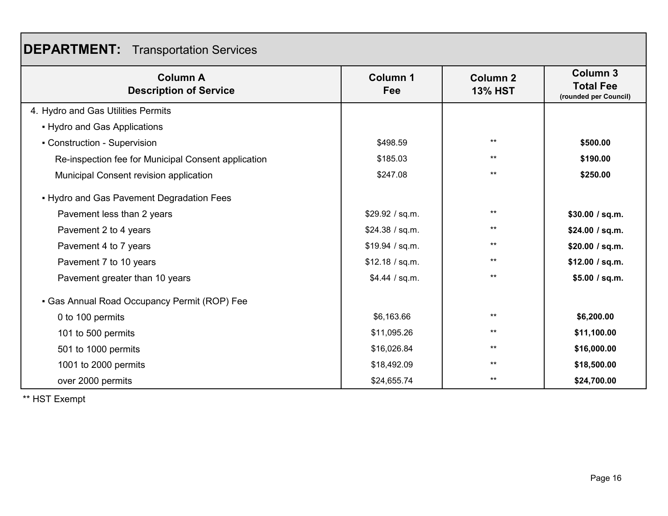|  | <b>DEPARTMENT:</b> Transportation Services |
|--|--------------------------------------------|
|--|--------------------------------------------|

| <b>Column A</b><br><b>Description of Service</b>    | <b>Column 1</b><br>Fee | <b>Column 2</b><br><b>13% HST</b> | <b>Column 3</b><br><b>Total Fee</b><br>(rounded per Council) |
|-----------------------------------------------------|------------------------|-----------------------------------|--------------------------------------------------------------|
| 4. Hydro and Gas Utilities Permits                  |                        |                                   |                                                              |
| • Hydro and Gas Applications                        |                        |                                   |                                                              |
| • Construction - Supervision                        | \$498.59               | $***$                             | \$500.00                                                     |
| Re-inspection fee for Municipal Consent application | \$185.03               | $***$                             | \$190.00                                                     |
| Municipal Consent revision application              | \$247.08               | $***$                             | \$250.00                                                     |
| • Hydro and Gas Pavement Degradation Fees           |                        |                                   |                                                              |
| Pavement less than 2 years                          | \$29.92 / sq.m.        | $***$                             | \$30.00 / sq.m.                                              |
| Pavement 2 to 4 years                               | \$24.38 / sq.m.        | $***$                             | \$24.00 / sq.m.                                              |
| Pavement 4 to 7 years                               | \$19.94 / sq.m.        | $***$                             | \$20.00 / sq.m.                                              |
| Pavement 7 to 10 years                              | \$12.18 / sq.m.        | $***$                             | \$12.00 / sq.m.                                              |
| Pavement greater than 10 years                      | \$4.44 / sq.m.         | $***$                             | \$5.00 / sq.m.                                               |
| • Gas Annual Road Occupancy Permit (ROP) Fee        |                        |                                   |                                                              |
| 0 to 100 permits                                    | \$6,163.66             | $***$                             | \$6,200.00                                                   |
| 101 to 500 permits                                  | \$11,095.26            | $***$                             | \$11,100.00                                                  |
| 501 to 1000 permits                                 | \$16,026.84            | $***$                             | \$16,000.00                                                  |
| 1001 to 2000 permits                                | \$18,492.09            | $***$                             | \$18,500.00                                                  |
| over 2000 permits                                   | \$24,655.74            | $***$                             | \$24,700.00                                                  |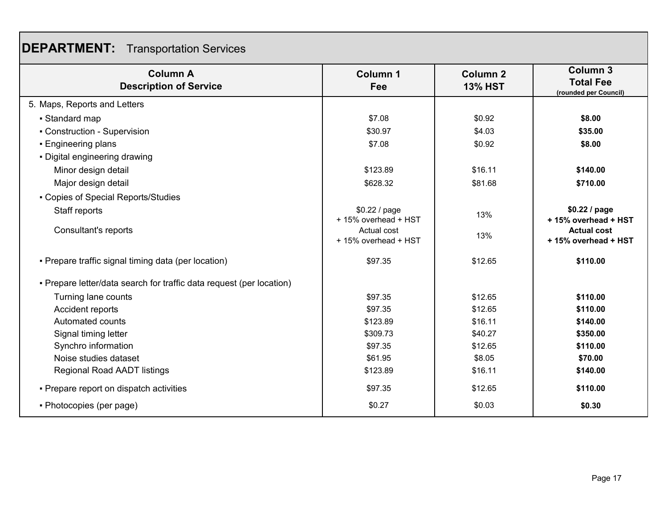## **DEPARTMENT:** Transportation Services

| <b>Column A</b><br><b>Description of Service</b>                     | <b>Column 1</b><br>Fee                | <b>Column 2</b><br><b>13% HST</b> | <b>Column 3</b><br><b>Total Fee</b><br>(rounded per Council) |
|----------------------------------------------------------------------|---------------------------------------|-----------------------------------|--------------------------------------------------------------|
| 5. Maps, Reports and Letters                                         |                                       |                                   |                                                              |
| • Standard map                                                       | \$7.08                                | \$0.92                            | \$8.00                                                       |
| • Construction - Supervision                                         | \$30.97                               | \$4.03                            | \$35.00                                                      |
| • Engineering plans                                                  | \$7.08                                | \$0.92                            | \$8.00                                                       |
| • Digital engineering drawing                                        |                                       |                                   |                                                              |
| Minor design detail                                                  | \$123.89                              | \$16.11                           | \$140.00                                                     |
| Major design detail                                                  | \$628.32                              | \$81.68                           | \$710.00                                                     |
| - Copies of Special Reports/Studies                                  |                                       |                                   |                                                              |
| Staff reports                                                        | \$0.22 / page<br>+ 15% overhead + HST | 13%                               | \$0.22 / page<br>+15% overhead + HST                         |
| Consultant's reports                                                 | Actual cost<br>+ 15% overhead + HST   | 13%                               | <b>Actual cost</b><br>+15% overhead + HST                    |
| • Prepare traffic signal timing data (per location)                  | \$97.35                               | \$12.65                           | \$110.00                                                     |
| • Prepare letter/data search for traffic data request (per location) |                                       |                                   |                                                              |
| Turning lane counts                                                  | \$97.35                               | \$12.65                           | \$110.00                                                     |
| Accident reports                                                     | \$97.35                               | \$12.65                           | \$110.00                                                     |
| Automated counts                                                     | \$123.89                              | \$16.11                           | \$140.00                                                     |
| Signal timing letter                                                 | \$309.73                              | \$40.27                           | \$350.00                                                     |
| Synchro information                                                  | \$97.35                               | \$12.65                           | \$110.00                                                     |
| Noise studies dataset                                                | \$61.95                               | \$8.05                            | \$70.00                                                      |
| <b>Regional Road AADT listings</b>                                   | \$123.89                              | \$16.11                           | \$140.00                                                     |
| • Prepare report on dispatch activities                              | \$97.35                               | \$12.65                           | \$110.00                                                     |
| • Photocopies (per page)                                             | \$0.27                                | \$0.03                            | \$0.30                                                       |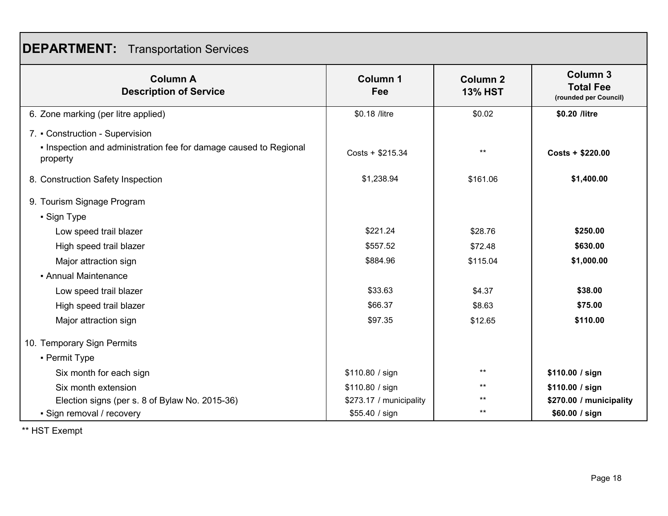| <b>DEPARTMENT:</b> Transportation Services |  |  |
|--------------------------------------------|--|--|
|--------------------------------------------|--|--|

| <b>Column A</b><br><b>Description of Service</b>                              | <b>Column 1</b><br>Fee  | Column <sub>2</sub><br><b>13% HST</b> | <b>Column 3</b><br><b>Total Fee</b><br>(rounded per Council) |
|-------------------------------------------------------------------------------|-------------------------|---------------------------------------|--------------------------------------------------------------|
| 6. Zone marking (per litre applied)                                           | \$0.18 /litre           | \$0.02                                | \$0.20 /litre                                                |
| 7. • Construction - Supervision                                               |                         |                                       |                                                              |
| . Inspection and administration fee for damage caused to Regional<br>property | $Costs + $215.34$       | $***$                                 | $Costs + $220.00$                                            |
| 8. Construction Safety Inspection                                             | \$1,238.94              | \$161.06                              | \$1,400.00                                                   |
| 9. Tourism Signage Program                                                    |                         |                                       |                                                              |
| • Sign Type                                                                   |                         |                                       |                                                              |
| Low speed trail blazer                                                        | \$221.24                | \$28.76                               | \$250.00                                                     |
| High speed trail blazer                                                       | \$557.52                | \$72.48                               | \$630.00                                                     |
| Major attraction sign                                                         | \$884.96                | \$115.04                              | \$1,000.00                                                   |
| • Annual Maintenance                                                          |                         |                                       |                                                              |
| Low speed trail blazer                                                        | \$33.63                 | \$4.37                                | \$38.00                                                      |
| High speed trail blazer                                                       | \$66.37                 | \$8.63                                | \$75.00                                                      |
| Major attraction sign                                                         | \$97.35                 | \$12.65                               | \$110.00                                                     |
| 10. Temporary Sign Permits                                                    |                         |                                       |                                                              |
| • Permit Type                                                                 |                         |                                       |                                                              |
| Six month for each sign                                                       | \$110.80 / sign         | $***$                                 | \$110.00 / sign                                              |
| Six month extension                                                           | \$110.80 / sign         | $***$                                 | \$110.00 / sign                                              |
| Election signs (per s. 8 of Bylaw No. 2015-36)                                | \$273.17 / municipality | $***$                                 | \$270.00 / municipality                                      |
| • Sign removal / recovery                                                     | \$55.40 / sign          | $***$                                 | \$60.00 / sign                                               |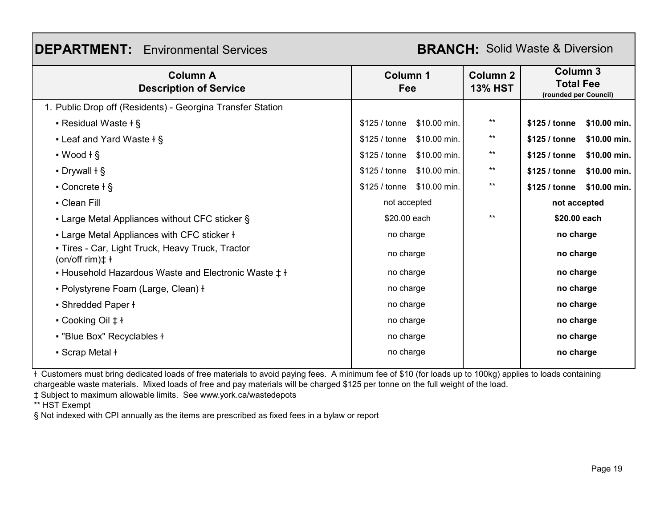## **DEPARTMENT:** Environmental Services

#### **BRANCH:** Solid Waste & Diversion

| <b>Column A</b><br><b>Description of Service</b>                             | <b>Column 1</b><br>Fee        | <b>Column 2</b><br><b>13% HST</b> | <b>Column 3</b><br><b>Total Fee</b><br>(rounded per Council) |
|------------------------------------------------------------------------------|-------------------------------|-----------------------------------|--------------------------------------------------------------|
| 1. Public Drop off (Residents) - Georgina Transfer Station                   |                               |                                   |                                                              |
| • Residual Waste $\dagger$ §                                                 | \$10.00 min.<br>\$125 / tonne | $***$                             | \$125 / tonne<br>\$10.00 min.                                |
| - Leaf and Yard Waste $+$ §                                                  | \$10.00 min.<br>\$125 / tonne | $***$                             | \$125 / tonne<br>\$10.00 min.                                |
| $\cdot$ Wood $\frac{1}{2}$                                                   | \$125/tonne<br>\$10.00 min.   | $***$                             | \$125 / tonne<br>\$10.00 min.                                |
| $\cdot$ Drywall $\dagger$ §                                                  | \$125/tonne<br>\$10.00 min.   | $***$                             | \$125 / tonne<br>\$10.00 min.                                |
| • Concrete $+$ §                                                             | \$125 / tonne<br>\$10.00 min. | $***$                             | \$125 / tonne<br>\$10.00 min.                                |
| • Clean Fill                                                                 | not accepted                  |                                   | not accepted                                                 |
| • Large Metal Appliances without CFC sticker §                               | \$20.00 each                  | $***$                             | \$20.00 each                                                 |
| • Large Metal Appliances with CFC sticker ł                                  | no charge                     |                                   | no charge                                                    |
| • Tires - Car, Light Truck, Heavy Truck, Tractor<br>$(on/off rim)\ddagger +$ | no charge                     |                                   | no charge                                                    |
| • Household Hazardous Waste and Electronic Waste $\ddagger$ ł                | no charge                     |                                   | no charge                                                    |
| • Polystyrene Foam (Large, Clean) +                                          | no charge                     |                                   | no charge                                                    |
| • Shredded Paper ł                                                           | no charge                     |                                   | no charge                                                    |
| • Cooking Oil $\ddagger$ ł                                                   | no charge                     |                                   | no charge                                                    |
| - "Blue Box" Recyclables +                                                   | no charge                     |                                   | no charge                                                    |
| • Scrap Metal ł                                                              | no charge                     |                                   | no charge                                                    |

ɫ Customers must bring dedicated loads of free materials to avoid paying fees. A minimum fee of \$10 (for loads up to 100kg) applies to loads containing chargeable waste materials. Mixed loads of free and pay materials will be charged \$125 per tonne on the full weight of the load.

‡ Subject to maximum allowable limits. See www.york.ca/wastedepots

\*\* HST Exempt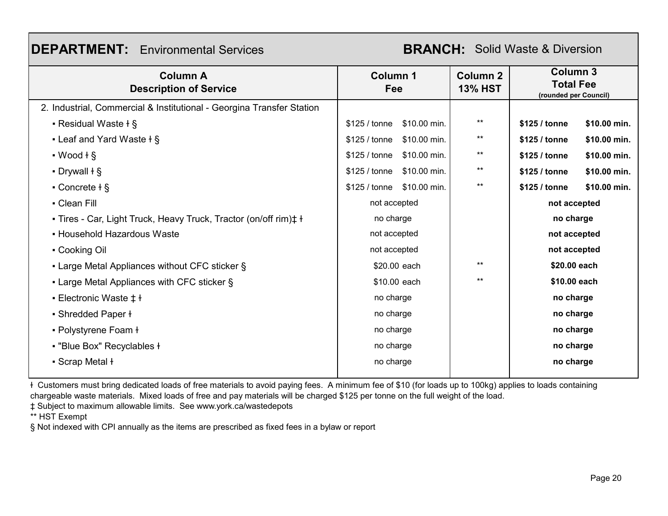| <b>Column A</b><br><b>Description of Service</b>                           | Column 1<br>Fee               | <b>Column 2</b><br><b>13% HST</b> | <b>Column 3</b><br><b>Total Fee</b><br>(rounded per Council) |
|----------------------------------------------------------------------------|-------------------------------|-----------------------------------|--------------------------------------------------------------|
| 2. Industrial, Commercial & Institutional - Georgina Transfer Station      |                               |                                   |                                                              |
| • Residual Waste + §                                                       | \$125 / tonne<br>\$10.00 min. | $***$                             | \$125 / tonne<br>\$10.00 min.                                |
| <b>- Leaf and Yard Waste <math>+</math> §</b>                              | \$10.00 min.<br>\$125 / tonne | $***$                             | \$10.00 min.<br>\$125 / tonne                                |
| $\cdot$ Wood $\frac{1}{9}$                                                 | \$10.00 min.<br>\$125 / tonne | $***$                             | \$125 / tonne<br>\$10.00 min.                                |
| $\cdot$ Drywall $\dagger$ §                                                | \$10.00 min.<br>\$125 / tonne | $^{\star\star}$                   | \$10.00 min.<br>\$125 / tonne                                |
| • Concrete $\dagger$ §                                                     | \$10.00 min.<br>\$125 / tonne | $***$                             | \$125 / tonne<br>\$10.00 min.                                |
| - Clean Fill                                                               | not accepted                  |                                   | not accepted                                                 |
| - Tires - Car, Light Truck, Heavy Truck, Tractor (on/off rim) $\ddagger$ ł | no charge                     |                                   | no charge                                                    |
| • Household Hazardous Waste                                                | not accepted                  |                                   | not accepted                                                 |
| • Cooking Oil                                                              | not accepted                  |                                   | not accepted                                                 |
| • Large Metal Appliances without CFC sticker §                             | \$20.00 each                  | $***$                             | \$20.00 each                                                 |
| • Large Metal Appliances with CFC sticker §                                | \$10.00 each                  | $***$                             | \$10.00 each                                                 |
| • Electronic Waste $\ddagger$ ł                                            | no charge                     |                                   | no charge                                                    |
| • Shredded Paper ł                                                         | no charge                     |                                   | no charge                                                    |
| • Polystyrene Foam ł                                                       | no charge                     |                                   | no charge                                                    |
| • "Blue Box" Recyclables +                                                 | no charge                     |                                   | no charge                                                    |
| • Scrap Metal ł                                                            | no charge                     |                                   | no charge                                                    |
|                                                                            |                               |                                   |                                                              |

ɫ Customers must bring dedicated loads of free materials to avoid paying fees. A minimum fee of \$10 (for loads up to 100kg) applies to loads containing chargeable waste materials. Mixed loads of free and pay materials will be charged \$125 per tonne on the full weight of the load.

‡ Subject to maximum allowable limits. See www.york.ca/wastedepots

**DEPARTMENT:** Environmental Services

\*\* HST Exempt

§ Not indexed with CPI annually as the items are prescribed as fixed fees in a bylaw or report

RRANCH: Solid Waste & Diversion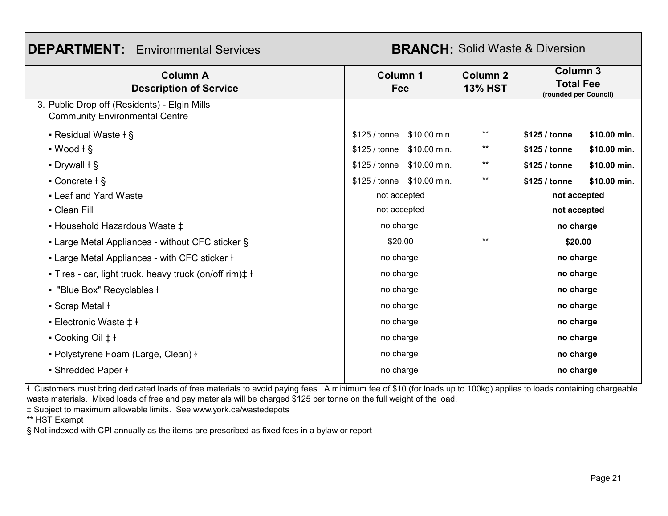## **DEPARTMENT:** Environmental Services

#### **BRANCH: Solid Waste & Diversion**

| <b>Column A</b><br><b>Description of Service</b>                                      | Column 1<br>Fee            | <b>Column 2</b><br><b>13% HST</b> | <b>Column 3</b><br><b>Total Fee</b><br>(rounded per Council) |
|---------------------------------------------------------------------------------------|----------------------------|-----------------------------------|--------------------------------------------------------------|
| 3. Public Drop off (Residents) - Elgin Mills<br><b>Community Environmental Centre</b> |                            |                                   |                                                              |
| • Residual Waste $\dagger$ §                                                          | \$125 / tonne \$10.00 min. | $***$                             | \$125 / tonne<br>\$10.00 min.                                |
| $\cdot$ Wood $\frac{1}{5}$                                                            | \$125 / tonne \$10.00 min. | $***$                             | \$125 / tonne<br>\$10.00 min.                                |
| $\cdot$ Drywall $\dagger$ §                                                           | \$125 / tonne \$10.00 min. | $***$                             | \$125 / tonne<br>\$10.00 min.                                |
| • Concrete $+$ §                                                                      | \$125 / tonne \$10.00 min. | $***$                             | \$10.00 min.<br>\$125 / tonne                                |
| - Leaf and Yard Waste                                                                 | not accepted               |                                   | not accepted                                                 |
| • Clean Fill                                                                          | not accepted               |                                   | not accepted                                                 |
| - Household Hazardous Waste $\ddagger$                                                | no charge                  |                                   | no charge                                                    |
| • Large Metal Appliances - without CFC sticker §                                      | \$20.00                    | $***$                             | \$20.00                                                      |
| - Large Metal Appliances - with CFC sticker +                                         | no charge                  |                                   | no charge                                                    |
| - Tires - car, light truck, heavy truck (on/off rim) $\ddagger$ ł                     | no charge                  |                                   | no charge                                                    |
| • "Blue Box" Recyclables +                                                            | no charge                  |                                   | no charge                                                    |
| • Scrap Metal ł                                                                       | no charge                  |                                   | no charge                                                    |
| ■ Electronic Waste ‡ ł                                                                | no charge                  |                                   | no charge                                                    |
| • Cooking Oil $\pm$ ł                                                                 | no charge                  |                                   | no charge                                                    |
| • Polystyrene Foam (Large, Clean) +                                                   | no charge                  |                                   | no charge                                                    |
| • Shredded Paper ł                                                                    | no charge                  |                                   | no charge                                                    |

ɫ Customers must bring dedicated loads of free materials to avoid paying fees. A minimum fee of \$10 (for loads up to 100kg) applies to loads containing chargeable waste materials. Mixed loads of free and pay materials will be charged \$125 per tonne on the full weight of the load.

‡ Subject to maximum allowable limits. See www.york.ca/wastedepots

\*\* HST Exempt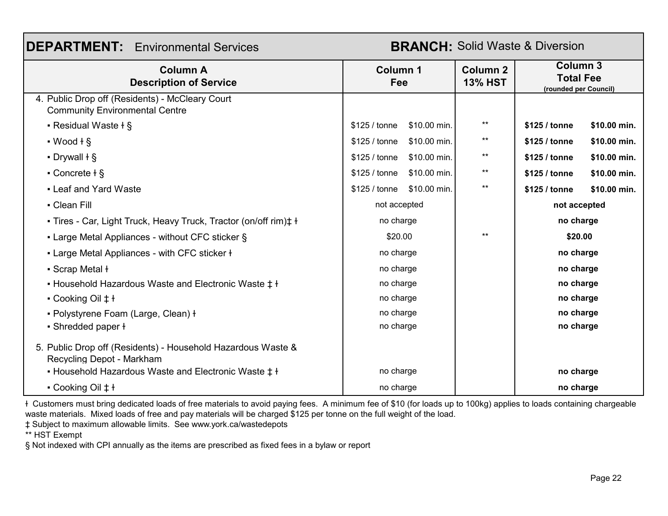| <b>DEPARTMENT:</b> Environmental Services<br><b>BRANCH: Solid Waste &amp; Diversion</b>   |                               |                                   |                                                              |  |
|-------------------------------------------------------------------------------------------|-------------------------------|-----------------------------------|--------------------------------------------------------------|--|
| <b>Column A</b><br><b>Description of Service</b>                                          | <b>Column 1</b><br>Fee        | <b>Column 2</b><br><b>13% HST</b> | <b>Column 3</b><br><b>Total Fee</b><br>(rounded per Council) |  |
| 4. Public Drop off (Residents) - McCleary Court<br><b>Community Environmental Centre</b>  |                               |                                   |                                                              |  |
| • Residual Waste + §                                                                      | \$125 / tonne<br>\$10.00 min. | $***$                             | \$125 / tonne<br>\$10.00 min.                                |  |
| $\cdot$ Wood $\frac{1}{2}$                                                                | \$125 / tonne<br>\$10.00 min. | $***$                             | \$10.00 min.<br>\$125 / tonne                                |  |
| $\cdot$ Drywall $\dagger$ §                                                               | \$10.00 min.<br>\$125 / tonne | $***$                             | \$125 / tonne<br>\$10.00 min.                                |  |
| $\cdot$ Concrete $\frac{1}{2}$                                                            | \$10.00 min.<br>\$125 / tonne | $***$                             | \$125 / tonne<br>\$10.00 min.                                |  |
| • Leaf and Yard Waste                                                                     | \$10.00 min.<br>\$125 / tonne | $***$                             | \$125 / tonne<br>\$10.00 min.                                |  |
| - Clean Fill                                                                              | not accepted                  |                                   | not accepted                                                 |  |
| - Tires - Car, Light Truck, Heavy Truck, Tractor (on/off rim) $\ddagger$ +                | no charge                     |                                   | no charge                                                    |  |
| • Large Metal Appliances - without CFC sticker §                                          | \$20.00                       | $**$                              | \$20.00                                                      |  |
| • Large Metal Appliances - with CFC sticker +                                             | no charge                     |                                   | no charge                                                    |  |
| • Scrap Metal ł                                                                           | no charge                     |                                   | no charge                                                    |  |
| • Household Hazardous Waste and Electronic Waste $\ddagger$ ł                             | no charge                     |                                   | no charge                                                    |  |
| $\cdot$ Cooking Oil $\pm$ ł                                                               | no charge                     |                                   | no charge                                                    |  |
| • Polystyrene Foam (Large, Clean) +                                                       | no charge                     |                                   | no charge                                                    |  |
| • Shredded paper ł                                                                        | no charge                     |                                   | no charge                                                    |  |
| 5. Public Drop off (Residents) - Household Hazardous Waste &<br>Recycling Depot - Markham |                               |                                   |                                                              |  |
| • Household Hazardous Waste and Electronic Waste $\ddagger$ ł                             | no charge                     |                                   | no charge                                                    |  |
| $\bullet$ Cooking Oil $\ddagger$ ł                                                        | no charge                     |                                   | no charge                                                    |  |

ɫ Customers must bring dedicated loads of free materials to avoid paying fees. A minimum fee of \$10 (for loads up to 100kg) applies to loads containing chargeable waste materials. Mixed loads of free and pay materials will be charged \$125 per tonne on the full weight of the load.

‡ Subject to maximum allowable limits. See www.york.ca/wastedepots

\*\* HST Exempt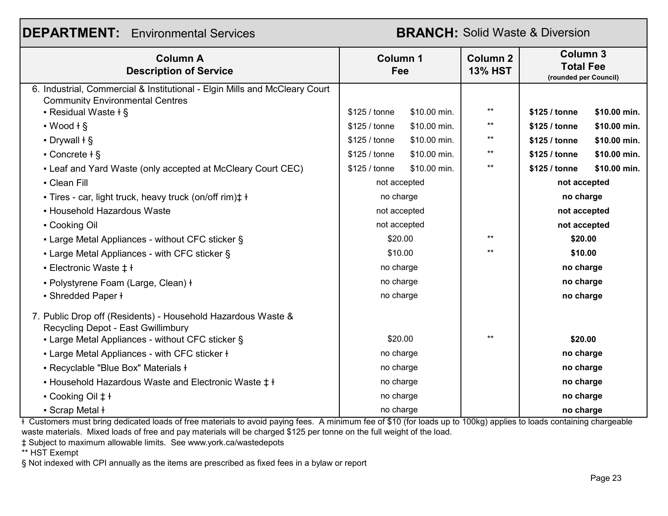| <b>DEPARTMENT:</b> Environmental Services<br><b>BRANCH:</b> Solid Waste & Diversion                                  |                        |                  |                                   |                                                              |              |
|----------------------------------------------------------------------------------------------------------------------|------------------------|------------------|-----------------------------------|--------------------------------------------------------------|--------------|
| <b>Column A</b><br><b>Description of Service</b>                                                                     | <b>Column 1</b><br>Fee |                  | <b>Column 2</b><br><b>13% HST</b> | <b>Column 3</b><br><b>Total Fee</b><br>(rounded per Council) |              |
| 6. Industrial, Commercial & Institutional - Elgin Mills and McCleary Court<br><b>Community Environmental Centres</b> |                        |                  |                                   |                                                              |              |
| • Residual Waste + §                                                                                                 | \$125 / tonne          | \$10.00 min.     | $***$                             | \$125 / tonne                                                | \$10.00 min. |
| $\cdot$ Wood $+$ §                                                                                                   | \$125 / tonne          | \$10.00 min.     | $***$                             | \$125 / tonne                                                | \$10.00 min. |
| $\cdot$ Drywall $\dagger$ §                                                                                          | \$125 / tonne          | \$10.00 min.     | $***$                             | \$125 / tonne                                                | \$10.00 min. |
| • Concrete $+$ §                                                                                                     | \$125 / tonne          | \$10.00 min.     | $***$                             | \$125 / tonne                                                | \$10.00 min. |
| • Leaf and Yard Waste (only accepted at McCleary Court CEC)                                                          | \$125 / tonne          | \$10.00 min.     | $***$                             | \$125 / tonne                                                | \$10.00 min. |
| • Clean Fill                                                                                                         | not accepted           |                  |                                   | not accepted                                                 |              |
| - Tires - car, light truck, heavy truck (on/off rim) $\ddagger$ +                                                    | no charge              |                  |                                   | no charge                                                    |              |
| - Household Hazardous Waste                                                                                          | not accepted           |                  |                                   | not accepted                                                 |              |
| • Cooking Oil                                                                                                        | not accepted           |                  |                                   | not accepted                                                 |              |
| - Large Metal Appliances - without CFC sticker §                                                                     |                        | $***$<br>\$20.00 |                                   | \$20.00                                                      |              |
| • Large Metal Appliances - with CFC sticker §                                                                        |                        | $**$<br>\$10.00  |                                   | \$10.00                                                      |              |
| • Electronic Waste $\ddagger$ ł                                                                                      | no charge              |                  |                                   | no charge                                                    |              |
| • Polystyrene Foam (Large, Clean) +                                                                                  | no charge              |                  |                                   | no charge                                                    |              |
| • Shredded Paper ł                                                                                                   | no charge              |                  |                                   | no charge                                                    |              |
| 7. Public Drop off (Residents) - Household Hazardous Waste &<br>Recvoling Depot - East Gwillimbury                   |                        |                  |                                   |                                                              |              |
| - Large Metal Appliances - without CFC sticker §                                                                     | \$20.00                |                  | $***$                             | \$20.00                                                      |              |
| - Large Metal Appliances - with CFC sticker +                                                                        | no charge              |                  |                                   | no charge                                                    |              |
| - Recyclable "Blue Box" Materials +                                                                                  | no charge              |                  |                                   | no charge                                                    |              |
| • Household Hazardous Waste and Electronic Waste $\ddagger$ ł                                                        | no charge              |                  | no charge                         |                                                              |              |
| • Cooking Oil $\ddagger$ ł                                                                                           | no charge              |                  |                                   | no charge                                                    |              |
| • Scrap Metal ł                                                                                                      | no charge              |                  |                                   | no charge                                                    |              |

ɫ Customers must bring dedicated loads of free materials to avoid paying fees. A minimum fee of \$10 (for loads up to 100kg) applies to loads containing chargeable waste materials. Mixed loads of free and pay materials will be charged \$125 per tonne on the full weight of the load.

‡ Subject to maximum allowable limits. See www.york.ca/wastedepots

\*\* HST Exempt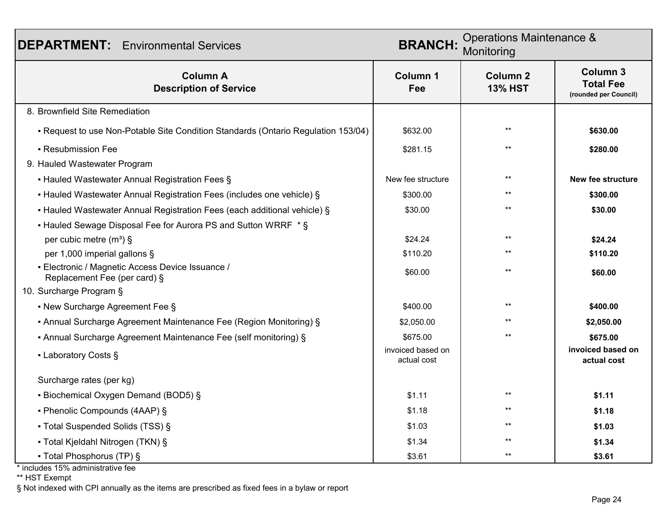| <b>DEPARTMENT:</b> Environmental Services                                         | Operations Maintenance &<br><b>BRANCH:</b><br>Monitoring |                                   |                                                              |
|-----------------------------------------------------------------------------------|----------------------------------------------------------|-----------------------------------|--------------------------------------------------------------|
| <b>Column A</b><br><b>Description of Service</b>                                  | <b>Column 1</b><br>Fee                                   | <b>Column 2</b><br><b>13% HST</b> | <b>Column 3</b><br><b>Total Fee</b><br>(rounded per Council) |
| 8. Brownfield Site Remediation                                                    |                                                          |                                   |                                                              |
| - Request to use Non-Potable Site Condition Standards (Ontario Regulation 153/04) | \$632.00                                                 | $*$                               | \$630.00                                                     |
| • Resubmission Fee                                                                | \$281.15                                                 |                                   | \$280.00                                                     |
| 9. Hauled Wastewater Program                                                      |                                                          |                                   |                                                              |
| • Hauled Wastewater Annual Registration Fees §                                    | New fee structure                                        | $**$                              | New fee structure                                            |
| • Hauled Wastewater Annual Registration Fees (includes one vehicle) §             | \$300.00                                                 |                                   | \$300.00                                                     |
| • Hauled Wastewater Annual Registration Fees (each additional vehicle) §          | \$30.00                                                  |                                   | \$30.00                                                      |
| • Hauled Sewage Disposal Fee for Aurora PS and Sutton WRRF * §                    |                                                          |                                   |                                                              |
| per cubic metre $(m^3)$ §                                                         | \$24.24                                                  | $+ +$                             | \$24.24                                                      |
| per 1,000 imperial gallons §                                                      | \$110.20                                                 |                                   | \$110.20                                                     |
| - Electronic / Magnetic Access Device Issuance /<br>Replacement Fee (per card) §  | \$60.00                                                  | $^{**}$                           | \$60.00                                                      |
| 10. Surcharge Program §                                                           |                                                          |                                   |                                                              |
| • New Surcharge Agreement Fee §                                                   | \$400.00                                                 | $*$                               | \$400.00                                                     |
| • Annual Surcharge Agreement Maintenance Fee (Region Monitoring) §                | \$2,050.00                                               |                                   | \$2,050.00                                                   |
| • Annual Surcharge Agreement Maintenance Fee (self monitoring) §                  | \$675.00                                                 | $+ +$                             | \$675.00                                                     |
| • Laboratory Costs §                                                              | invoiced based on<br>actual cost                         |                                   | invoiced based on<br>actual cost                             |
| Surcharge rates (per kg)                                                          |                                                          |                                   |                                                              |
| • Biochemical Oxygen Demand (BOD5) §                                              | \$1.11                                                   | $*$                               | \$1.11                                                       |
| • Phenolic Compounds (4AAP) §                                                     | \$1.18                                                   |                                   | \$1.18                                                       |
| • Total Suspended Solids (TSS) §                                                  | \$1.03                                                   |                                   | \$1.03                                                       |
| • Total Kjeldahl Nitrogen (TKN) §                                                 | \$1.34                                                   |                                   | \$1.34                                                       |
| • Total Phosphorus (TP) §                                                         | \$3.61                                                   |                                   | \$3.61                                                       |

\* includes 15% administrative fee

\*\* HST Exempt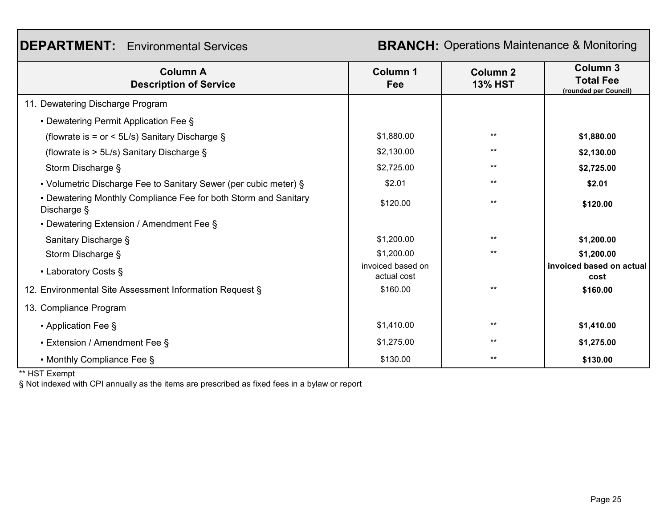#### **DEPARTMENT:** Environmental Services

**BRANCH:** Operations Maintenance & Monitoring

| <b>Column A</b><br><b>Description of Service</b>                               | <b>Column 1</b><br>Fee           | <b>Column 2</b><br><b>13% HST</b> | <b>Column 3</b><br><b>Total Fee</b><br>(rounded per Council) |
|--------------------------------------------------------------------------------|----------------------------------|-----------------------------------|--------------------------------------------------------------|
| 11. Dewatering Discharge Program                                               |                                  |                                   |                                                              |
| • Dewatering Permit Application Fee §                                          |                                  |                                   |                                                              |
| (flowrate is = or < $5L/s$ ) Sanitary Discharge $\S$                           | \$1,880.00                       | $***$                             | \$1,880.00                                                   |
| (flowrate is $> 5$ L/s) Sanitary Discharge §                                   | \$2,130.00                       | **                                | \$2,130.00                                                   |
| Storm Discharge §                                                              | \$2,725.00                       | **                                | \$2,725.00                                                   |
| • Volumetric Discharge Fee to Sanitary Sewer (per cubic meter) §               | \$2.01                           | **                                | \$2.01                                                       |
| • Dewatering Monthly Compliance Fee for both Storm and Sanitary<br>Discharge § | \$120.00                         | $***$                             | \$120.00                                                     |
| • Dewatering Extension / Amendment Fee §                                       |                                  |                                   |                                                              |
| Sanitary Discharge §                                                           | \$1,200.00                       | $***$                             | \$1,200.00                                                   |
| Storm Discharge §                                                              | \$1,200.00                       | $***$                             | \$1,200.00                                                   |
| • Laboratory Costs §                                                           | invoiced based on<br>actual cost |                                   | invoiced based on actual<br>cost                             |
| 12. Environmental Site Assessment Information Request §                        | \$160.00                         | $***$                             | \$160.00                                                     |
| 13. Compliance Program                                                         |                                  |                                   |                                                              |
| • Application Fee §                                                            | \$1,410.00                       | $***$                             | \$1,410.00                                                   |
| • Extension / Amendment Fee §                                                  | \$1,275.00                       | $***$                             | \$1,275.00                                                   |
| • Monthly Compliance Fee §                                                     | \$130.00                         | $***$                             | \$130.00                                                     |

\*\* HST Exempt